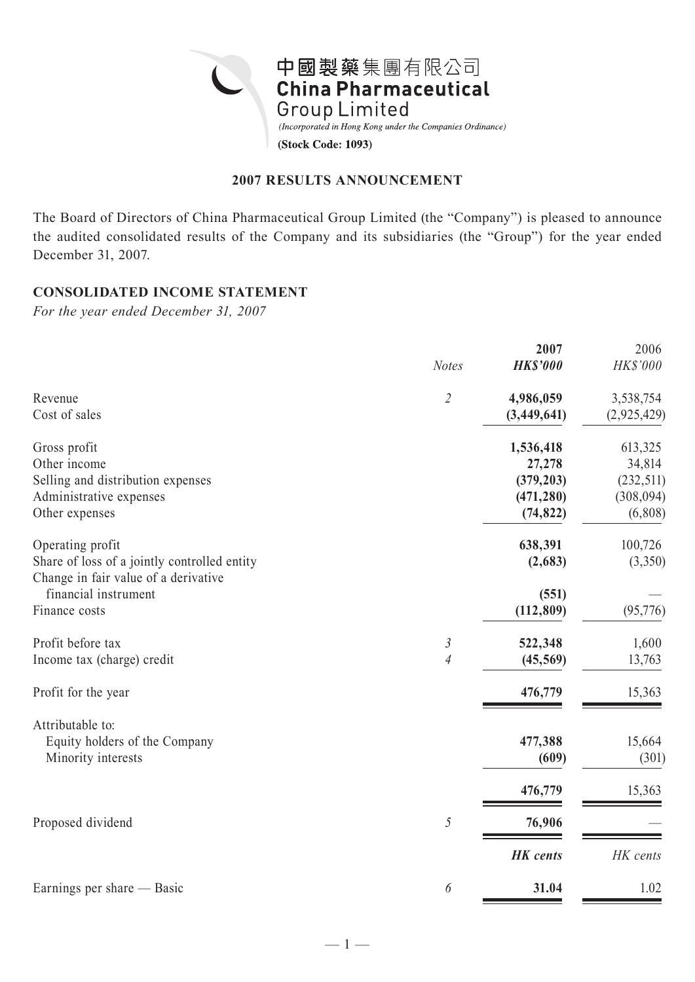

### **2007 RESULTS ANNOUNCEMENT**

The Board of Directors of China Pharmaceutical Group Limited (the "Company") is pleased to announce the audited consolidated results of the Company and its subsidiaries (the "Group") for the year ended December 31, 2007.

## **CONSOLIDATED INCOME STATEMENT**

*For the year ended December 31, 2007*

|                                              | <b>Notes</b>   | 2007<br><b>HK\$'000</b> | 2006<br>HK\$'000 |
|----------------------------------------------|----------------|-------------------------|------------------|
| Revenue                                      | $\overline{2}$ | 4,986,059               | 3,538,754        |
| Cost of sales                                |                | (3,449,641)             | (2,925,429)      |
| Gross profit                                 |                | 1,536,418               | 613,325          |
| Other income                                 |                | 27,278                  | 34,814           |
| Selling and distribution expenses            |                | (379, 203)              | (232, 511)       |
| Administrative expenses                      |                | (471, 280)              | (308, 094)       |
| Other expenses                               |                | (74, 822)               | (6,808)          |
| Operating profit                             |                | 638,391                 | 100,726          |
| Share of loss of a jointly controlled entity |                | (2,683)                 | (3,350)          |
| Change in fair value of a derivative         |                |                         |                  |
| financial instrument                         |                | (551)                   |                  |
| Finance costs                                |                | (112, 809)              | (95,776)         |
| Profit before tax                            | $\mathfrak{Z}$ | 522,348                 | 1,600            |
| Income tax (charge) credit                   | $\overline{4}$ | (45, 569)               | 13,763           |
| Profit for the year                          |                | 476,779                 | 15,363           |
| Attributable to:                             |                |                         |                  |
| Equity holders of the Company                |                | 477,388                 | 15,664           |
| Minority interests                           |                | (609)                   | (301)            |
|                                              |                | 476,779                 | 15,363           |
| Proposed dividend                            | 5              | 76,906                  |                  |
|                                              |                | <b>HK</b> cents         | HK cents         |
|                                              |                |                         |                  |
| Earnings per share — Basic                   | 6              | 31.04                   | 1.02             |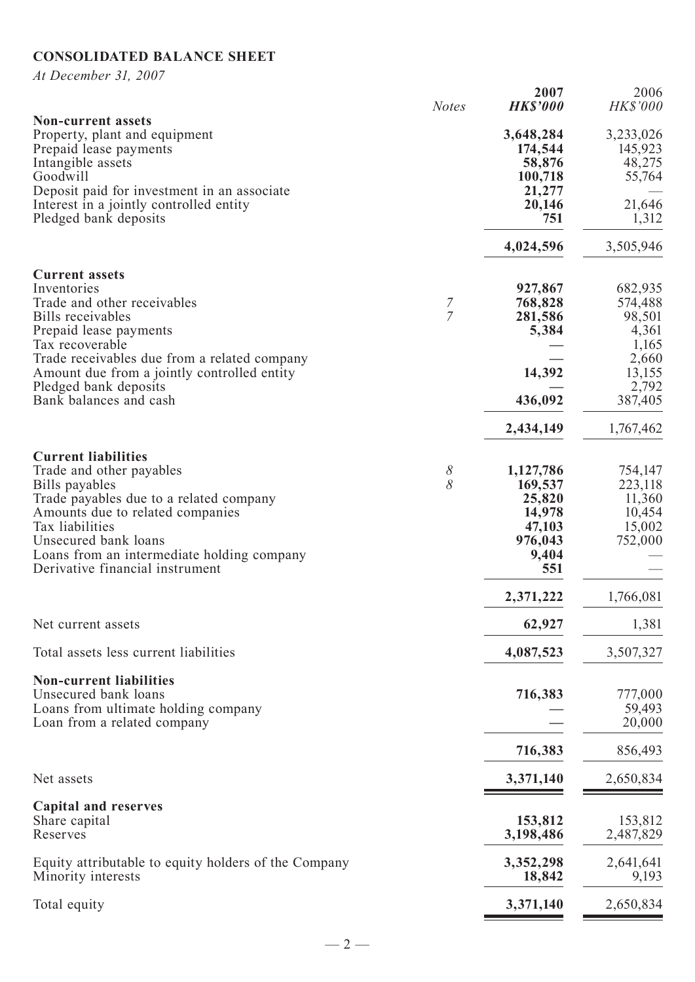# **CONSOLIDATED BALANCE SHEET**

*At December 31, 2007*

|                                                                                                                                                                                                                                                                                     | <b>Notes</b>        | 2007<br><b>HK\$'000</b>                                                       | 2006<br><b>HK\$'000</b>                                     |
|-------------------------------------------------------------------------------------------------------------------------------------------------------------------------------------------------------------------------------------------------------------------------------------|---------------------|-------------------------------------------------------------------------------|-------------------------------------------------------------|
| <b>Non-current assets</b><br>Property, plant and equipment<br>Prepaid lease payments<br>Intangible assets<br>Goodwill<br>Deposit paid for investment in an associate                                                                                                                |                     | 3,648,284<br>174,544<br>58,876<br>100,718<br>21,277                           | 3,233,026<br>145,923<br>48,275<br>55,764                    |
| Interest in a jointly controlled entity<br>Pledged bank deposits                                                                                                                                                                                                                    |                     | 20,146<br>751                                                                 | 21,646<br>1,312                                             |
|                                                                                                                                                                                                                                                                                     |                     | 4,024,596                                                                     | 3,505,946                                                   |
| <b>Current assets</b><br>Inventories<br>Trade and other receivables<br>Bills receivables<br>Prepaid lease payments<br>Tax recoverable                                                                                                                                               | 7<br>$\overline{7}$ | 927,867<br>768,828<br>281,586<br>5,384                                        | 682,935<br>574,488<br>98,501<br>4,361<br>1,165              |
| Trade receivables due from a related company<br>Amount due from a jointly controlled entity<br>Pledged bank deposits                                                                                                                                                                |                     | 14,392                                                                        | 2,660<br>13,155<br>2,792                                    |
| Bank balances and cash                                                                                                                                                                                                                                                              |                     | 436,092                                                                       | 387,405                                                     |
|                                                                                                                                                                                                                                                                                     |                     | 2,434,149                                                                     | 1,767,462                                                   |
| <b>Current liabilities</b><br>Trade and other payables<br>Bills payables<br>Trade payables due to a related company<br>Amounts due to related companies<br>Tax liabilities<br>Unsecured bank loans<br>Loans from an intermediate holding company<br>Derivative financial instrument | 8<br>8              | 1,127,786<br>169,537<br>25,820<br>14,978<br>47,103<br>976,043<br>9,404<br>551 | 754,147<br>223,118<br>11,360<br>10,454<br>15,002<br>752,000 |
|                                                                                                                                                                                                                                                                                     |                     | 2,371,222                                                                     | 1,766,081                                                   |
| Net current assets                                                                                                                                                                                                                                                                  |                     | 62,927                                                                        | 1,381                                                       |
| Total assets less current liabilities                                                                                                                                                                                                                                               |                     | 4,087,523                                                                     | 3,507,327                                                   |
| <b>Non-current liabilities</b><br>Unsecured bank loans<br>Loans from ultimate holding company<br>Loan from a related company                                                                                                                                                        |                     | 716,383                                                                       | 777,000<br>59,493<br>20,000                                 |
|                                                                                                                                                                                                                                                                                     |                     | 716,383                                                                       | 856,493                                                     |
| Net assets                                                                                                                                                                                                                                                                          |                     | 3,371,140                                                                     | 2,650,834                                                   |
| <b>Capital and reserves</b><br>Share capital<br>Reserves                                                                                                                                                                                                                            |                     | 153,812<br>3,198,486                                                          | 153,812<br>2,487,829                                        |
| Equity attributable to equity holders of the Company<br>Minority interests                                                                                                                                                                                                          |                     | 3,352,298<br>18,842                                                           | 2,641,641<br>9,193                                          |
| Total equity                                                                                                                                                                                                                                                                        |                     | 3,371,140                                                                     | 2,650,834                                                   |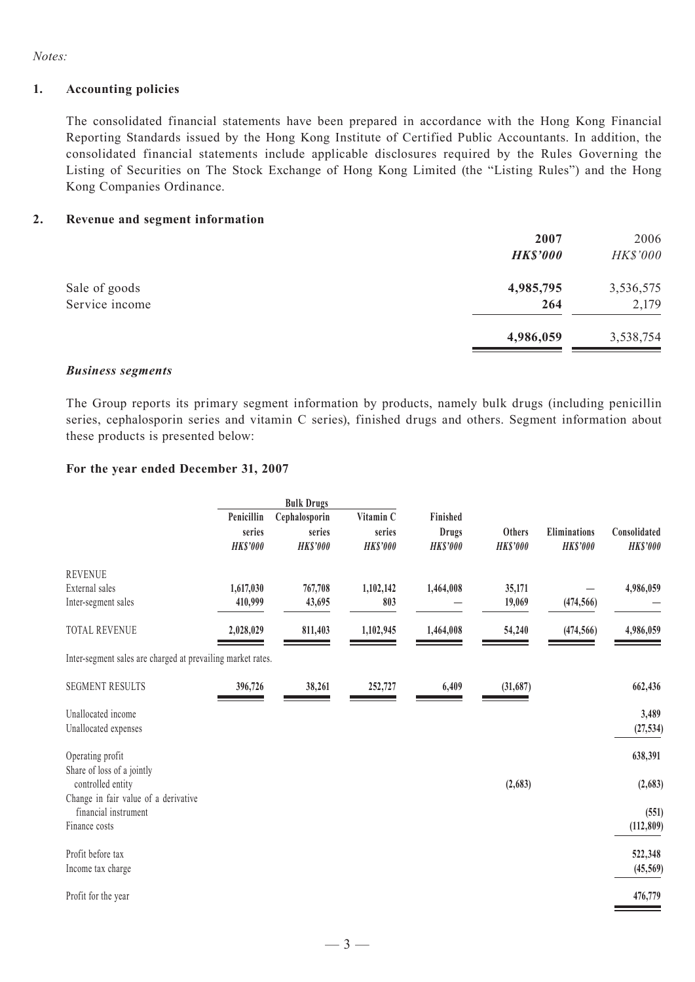*Notes:*

#### **1. Accounting policies**

The consolidated financial statements have been prepared in accordance with the Hong Kong Financial Reporting Standards issued by the Hong Kong Institute of Certified Public Accountants. In addition, the consolidated financial statements include applicable disclosures required by the Rules Governing the Listing of Securities on The Stock Exchange of Hong Kong Limited (the "Listing Rules") and the Hong Kong Companies Ordinance.

#### **2. Revenue and segment information**

|                | 2007            | 2006      |
|----------------|-----------------|-----------|
|                | <b>HK\$'000</b> | HK\$'000  |
| Sale of goods  | 4,985,795       | 3,536,575 |
| Service income | 264             | 2,179     |
|                | 4,986,059       | 3,538,754 |

#### *Business segments*

The Group reports its primary segment information by products, namely bulk drugs (including penicillin series, cephalosporin series and vitamin C series), finished drugs and others. Segment information about these products is presented below:

#### **For the year ended December 31, 2007**

|                                                             | <b>Bulk Drugs</b>    |                         |                     |                   |                 |                 |                 |  |
|-------------------------------------------------------------|----------------------|-------------------------|---------------------|-------------------|-----------------|-----------------|-----------------|--|
|                                                             | Penicillin<br>series | Cephalosporin<br>series | Vitamin C<br>series | Finished<br>Drugs | Others          | Eliminations    | Consolidated    |  |
|                                                             | <b>HK\$'000</b>      | <b>HK\$'000</b>         | <b>HK\$'000</b>     | <b>HK\$'000</b>   | <b>HK\$'000</b> | <b>HK\$'000</b> | <b>HK\$'000</b> |  |
| <b>REVENUE</b>                                              |                      |                         |                     |                   |                 |                 |                 |  |
| External sales                                              | 1,617,030            | 767,708                 | 1,102,142           | 1,464,008         | 35,171          |                 | 4,986,059       |  |
| Inter-segment sales                                         | 410,999              | 43,695                  | 803                 |                   | 19,069          | (474, 566)      |                 |  |
| <b>TOTAL REVENUE</b>                                        | 2,028,029            | 811,403                 | 1,102,945           | 1,464,008         | 54,240          | (474, 566)      | 4,986,059       |  |
| Inter-segment sales are charged at prevailing market rates. |                      |                         |                     |                   |                 |                 |                 |  |
| <b>SEGMENT RESULTS</b>                                      | 396,726              | 38,261                  | 252,727             | 6,409             | (31,687)        |                 | 662,436         |  |
| Unallocated income                                          |                      |                         |                     |                   |                 |                 | 3,489           |  |
| Unallocated expenses                                        |                      |                         |                     |                   |                 |                 | (27, 534)       |  |
| Operating profit                                            |                      |                         |                     |                   |                 |                 | 638,391         |  |
| Share of loss of a jointly                                  |                      |                         |                     |                   |                 |                 |                 |  |
| controlled entity<br>Change in fair value of a derivative   |                      |                         |                     |                   | (2,683)         |                 | (2, 683)        |  |
| financial instrument                                        |                      |                         |                     |                   |                 |                 | (551)           |  |
| Finance costs                                               |                      |                         |                     |                   |                 |                 | (112, 809)      |  |
| Profit before tax                                           |                      |                         |                     |                   |                 |                 | 522,348         |  |
| Income tax charge                                           |                      |                         |                     |                   |                 |                 | (45, 569)       |  |
| Profit for the year                                         |                      |                         |                     |                   |                 |                 | 476,779         |  |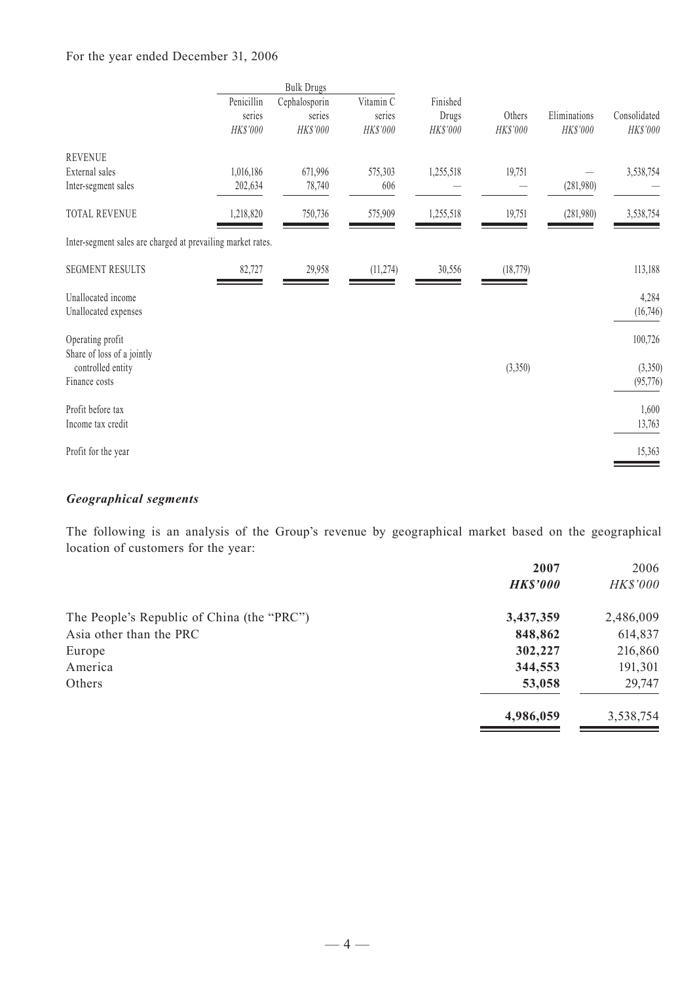### For the year ended December 31, 2006

|                                                             | Penicillin<br>series<br>HK\$'000 | <b>Bulk Drugs</b><br>Cephalosporin<br>series<br>HK\$'000 | Vitamin C<br>series<br>HK\$'000 | Finished<br>Drugs<br>HK\$'000 | Others<br>HK\$'000 | Eliminations<br>HK\$'000 | Consolidated<br>HK\$'000 |
|-------------------------------------------------------------|----------------------------------|----------------------------------------------------------|---------------------------------|-------------------------------|--------------------|--------------------------|--------------------------|
| <b>REVENUE</b><br>External sales                            | 1,016,186                        | 671,996                                                  | 575,303                         | 1,255,518                     | 19,751             |                          | 3,538,754                |
| Inter-segment sales                                         | 202,634                          | 78,740                                                   | 606                             |                               |                    | (281,980)                |                          |
| <b>TOTAL REVENUE</b>                                        | 1,218,820                        | 750,736                                                  | 575,909                         | 1,255,518                     | 19,751             | (281,980)                | 3,538,754                |
| Inter-segment sales are charged at prevailing market rates. |                                  |                                                          |                                 |                               |                    |                          |                          |
| <b>SEGMENT RESULTS</b>                                      | 82,727                           | 29,958                                                   | (11, 274)                       | 30,556                        | (18, 779)          |                          | 113,188                  |
| Unallocated income<br>Unallocated expenses                  |                                  |                                                          |                                 |                               |                    |                          | 4,284<br>(16,746)        |
| Operating profit<br>Share of loss of a jointly              |                                  |                                                          |                                 |                               |                    |                          | 100,726                  |
| controlled entity<br>Finance costs                          |                                  |                                                          |                                 |                               | (3,350)            |                          | (3,350)<br>(95, 776)     |
| Profit before tax<br>Income tax credit                      |                                  |                                                          |                                 |                               |                    |                          | 1,600<br>13,763          |
| Profit for the year                                         |                                  |                                                          |                                 |                               |                    |                          | 15,363                   |

## *Geographical segments*

The following is an analysis of the Group's revenue by geographical market based on the geographical location of customers for the year:

| 2007            | 2006            |
|-----------------|-----------------|
| <b>HK\$'000</b> | <b>HK\$'000</b> |
| 3,437,359       | 2,486,009       |
| 848,862         | 614,837         |
| 302,227         | 216,860         |
| 344,553         | 191,301         |
| 53,058          | 29,747          |
| 4,986,059       | 3,538,754       |
|                 |                 |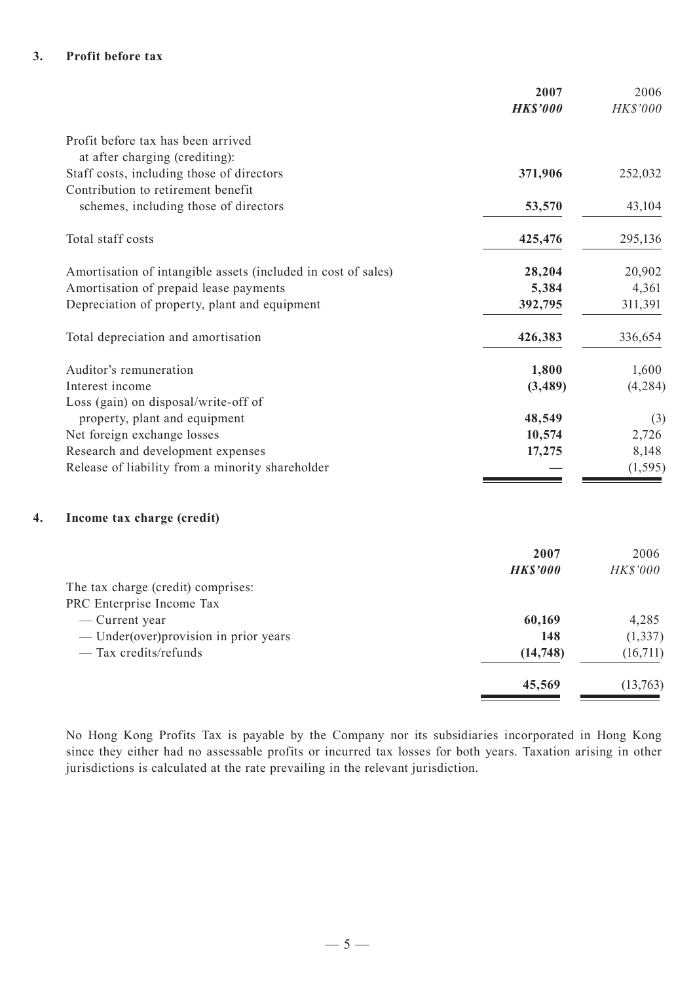#### **3. Profit before tax**

|                                                               | 2007            | 2006     |
|---------------------------------------------------------------|-----------------|----------|
|                                                               | <b>HK\$'000</b> | HK\$'000 |
| Profit before tax has been arrived                            |                 |          |
| at after charging (crediting):                                |                 |          |
| Staff costs, including those of directors                     | 371,906         | 252,032  |
| Contribution to retirement benefit                            |                 |          |
| schemes, including those of directors                         | 53,570          | 43,104   |
| Total staff costs                                             | 425,476         | 295,136  |
| Amortisation of intangible assets (included in cost of sales) | 28,204          | 20,902   |
| Amortisation of prepaid lease payments                        | 5,384           | 4,361    |
| Depreciation of property, plant and equipment                 | 392,795         | 311,391  |
| Total depreciation and amortisation                           | 426,383         | 336,654  |
| Auditor's remuneration                                        | 1,800           | 1,600    |
| Interest income                                               | (3,489)         | (4, 284) |
| Loss (gain) on disposal/write-off of                          |                 |          |
| property, plant and equipment                                 | 48,549          | (3)      |
| Net foreign exchange losses                                   | 10,574          | 2,726    |
| Research and development expenses                             | 17,275          | 8,148    |
| Release of liability from a minority shareholder              |                 | (1, 595) |
| Income tax charge (credit)                                    |                 |          |
|                                                               | 2007            | 2006     |
|                                                               | <b>HK\$'000</b> | HK\$'000 |
| The tax charge (credit) comprises:                            |                 |          |
| PRC Enterprise Income Tax                                     |                 |          |
| — Current year                                                | 60,169          | 4,285    |
| - Under(over)provision in prior years                         | 148             | (1, 337) |
| - Tax credits/refunds                                         | (14, 748)       | (16,711) |
|                                                               | 45,569          | (13,763) |
|                                                               |                 |          |

No Hong Kong Profits Tax is payable by the Company nor its subsidiaries incorporated in Hong Kong since they either had no assessable profits or incurred tax losses for both years. Taxation arising in other jurisdictions is calculated at the rate prevailing in the relevant jurisdiction.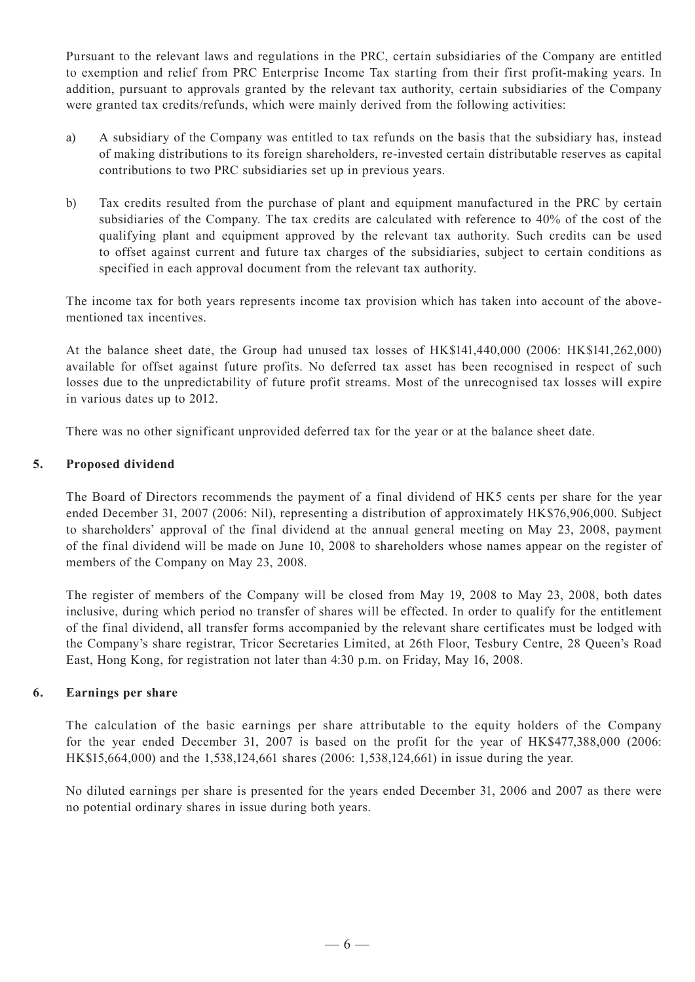Pursuant to the relevant laws and regulations in the PRC, certain subsidiaries of the Company are entitled to exemption and relief from PRC Enterprise Income Tax starting from their first profit-making years. In addition, pursuant to approvals granted by the relevant tax authority, certain subsidiaries of the Company were granted tax credits/refunds, which were mainly derived from the following activities:

- a) A subsidiary of the Company was entitled to tax refunds on the basis that the subsidiary has, instead of making distributions to its foreign shareholders, re-invested certain distributable reserves as capital contributions to two PRC subsidiaries set up in previous years.
- b) Tax credits resulted from the purchase of plant and equipment manufactured in the PRC by certain subsidiaries of the Company. The tax credits are calculated with reference to 40% of the cost of the qualifying plant and equipment approved by the relevant tax authority. Such credits can be used to offset against current and future tax charges of the subsidiaries, subject to certain conditions as specified in each approval document from the relevant tax authority.

The income tax for both years represents income tax provision which has taken into account of the abovementioned tax incentives.

At the balance sheet date, the Group had unused tax losses of HK\$141,440,000 (2006: HK\$141,262,000) available for offset against future profits. No deferred tax asset has been recognised in respect of such losses due to the unpredictability of future profit streams. Most of the unrecognised tax losses will expire in various dates up to 2012.

There was no other significant unprovided deferred tax for the year or at the balance sheet date.

#### **5. Proposed dividend**

The Board of Directors recommends the payment of a final dividend of HK5 cents per share for the year ended December 31, 2007 (2006: Nil), representing a distribution of approximately HK\$76,906,000. Subject to shareholders' approval of the final dividend at the annual general meeting on May 23, 2008, payment of the final dividend will be made on June 10, 2008 to shareholders whose names appear on the register of members of the Company on May 23, 2008.

The register of members of the Company will be closed from May 19, 2008 to May 23, 2008, both dates inclusive, during which period no transfer of shares will be effected. In order to qualify for the entitlement of the final dividend, all transfer forms accompanied by the relevant share certificates must be lodged with the Company's share registrar, Tricor Secretaries Limited, at 26th Floor, Tesbury Centre, 28 Queen's Road East, Hong Kong, for registration not later than 4:30 p.m. on Friday, May 16, 2008.

#### **6. Earnings per share**

The calculation of the basic earnings per share attributable to the equity holders of the Company for the year ended December 31, 2007 is based on the profit for the year of HK\$477,388,000 (2006: HK\$15,664,000) and the 1,538,124,661 shares (2006: 1,538,124,661) in issue during the year.

No diluted earnings per share is presented for the years ended December 31, 2006 and 2007 as there were no potential ordinary shares in issue during both years.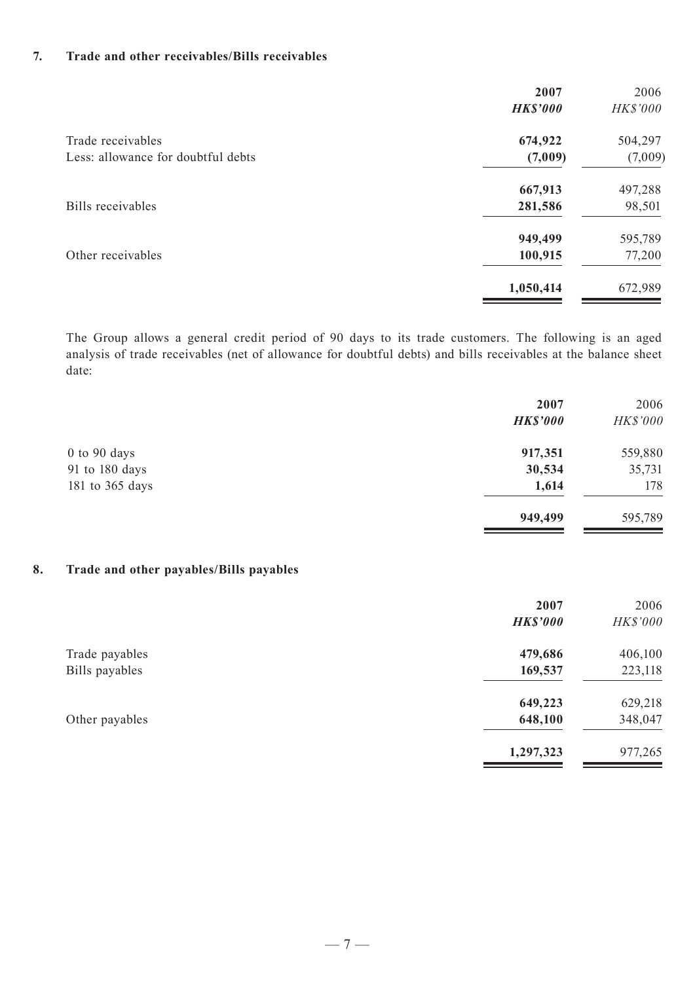#### **7. Trade and other receivables/Bills receivables**

|                                    | 2007<br><b>HK\$'000</b> | 2006<br>HK\$'000 |
|------------------------------------|-------------------------|------------------|
| Trade receivables                  | 674,922                 | 504,297          |
| Less: allowance for doubtful debts | (7,009)                 | (7,009)          |
|                                    | 667,913                 | 497,288          |
| Bills receivables                  | 281,586                 | 98,501           |
|                                    | 949,499                 | 595,789          |
| Other receivables                  | 100,915                 | 77,200           |
|                                    | 1,050,414               | 672,989          |

The Group allows a general credit period of 90 days to its trade customers. The following is an aged analysis of trade receivables (net of allowance for doubtful debts) and bills receivables at the balance sheet date:

|                  | 2007<br><b>HK\$'000</b> | 2006<br>HK\$'000 |
|------------------|-------------------------|------------------|
| $0$ to $90$ days | 917,351                 | 559,880          |
| 91 to 180 days   | 30,534                  | 35,731           |
| 181 to 365 days  | 1,614                   | 178              |
|                  | 949,499                 | 595,789          |

### **8. Trade and other payables/Bills payables**

|                | 2007            | 2006     |
|----------------|-----------------|----------|
|                | <b>HK\$'000</b> | HK\$'000 |
| Trade payables | 479,686         | 406,100  |
| Bills payables | 169,537         | 223,118  |
|                | 649,223         | 629,218  |
| Other payables | 648,100         | 348,047  |
|                | 1,297,323       | 977,265  |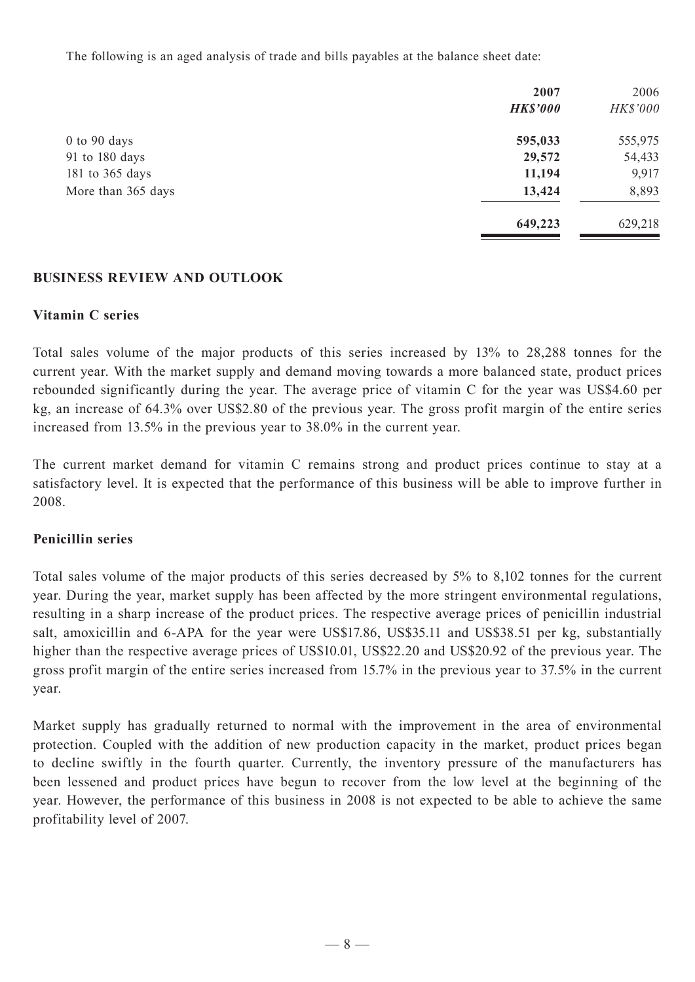The following is an aged analysis of trade and bills payables at the balance sheet date:

|                    | 2007<br><b>HK\$'000</b> | 2006<br>HK\$'000 |
|--------------------|-------------------------|------------------|
| $0$ to $90$ days   | 595,033                 | 555,975          |
| 91 to 180 days     | 29,572                  | 54,433           |
| 181 to 365 days    | 11,194                  | 9,917            |
| More than 365 days | 13,424                  | 8,893            |
|                    | 649,223                 | 629,218          |

### **BUSINESS REVIEW AND OUTLOOK**

#### **Vitamin C series**

Total sales volume of the major products of this series increased by 13% to 28,288 tonnes for the current year. With the market supply and demand moving towards a more balanced state, product prices rebounded significantly during the year. The average price of vitamin C for the year was US\$4.60 per kg, an increase of 64.3% over US\$2.80 of the previous year. The gross profit margin of the entire series increased from 13.5% in the previous year to 38.0% in the current year.

The current market demand for vitamin C remains strong and product prices continue to stay at a satisfactory level. It is expected that the performance of this business will be able to improve further in 2008.

#### **Penicillin series**

Total sales volume of the major products of this series decreased by 5% to 8,102 tonnes for the current year. During the year, market supply has been affected by the more stringent environmental regulations, resulting in a sharp increase of the product prices. The respective average prices of penicillin industrial salt, amoxicillin and 6-APA for the year were US\$17.86, US\$35.11 and US\$38.51 per kg, substantially higher than the respective average prices of US\$10.01, US\$22.20 and US\$20.92 of the previous year. The gross profit margin of the entire series increased from 15.7% in the previous year to 37.5% in the current year.

Market supply has gradually returned to normal with the improvement in the area of environmental protection. Coupled with the addition of new production capacity in the market, product prices began to decline swiftly in the fourth quarter. Currently, the inventory pressure of the manufacturers has been lessened and product prices have begun to recover from the low level at the beginning of the year. However, the performance of this business in 2008 is not expected to be able to achieve the same profitability level of 2007.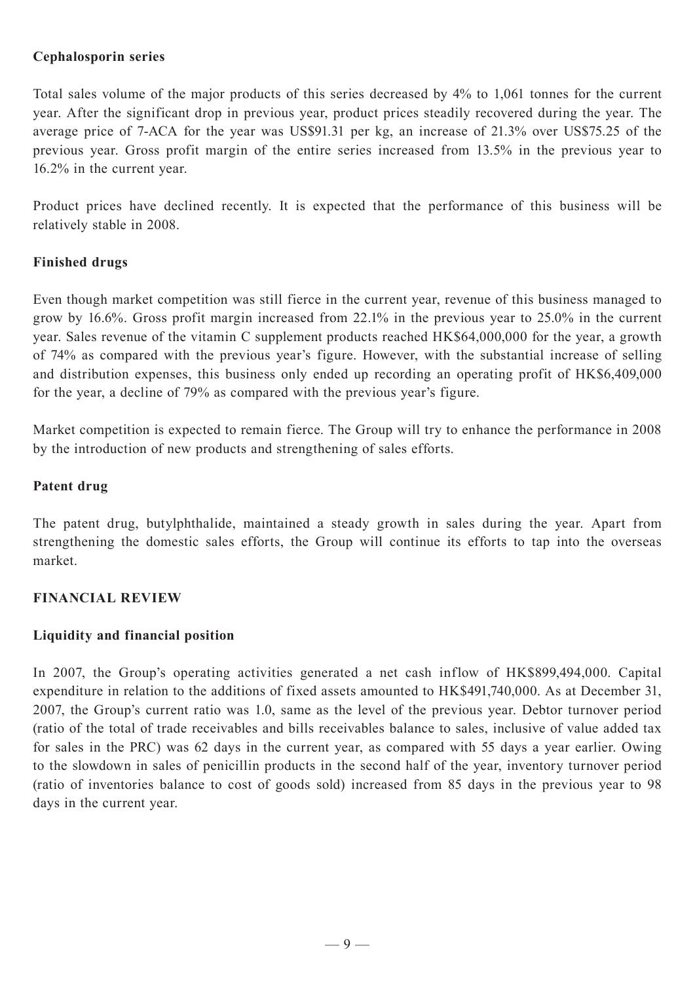## **Cephalosporin series**

Total sales volume of the major products of this series decreased by 4% to 1,061 tonnes for the current year. After the significant drop in previous year, product prices steadily recovered during the year. The average price of 7-ACA for the year was US\$91.31 per kg, an increase of 21.3% over US\$75.25 of the previous year. Gross profit margin of the entire series increased from 13.5% in the previous year to 16.2% in the current year.

Product prices have declined recently. It is expected that the performance of this business will be relatively stable in 2008.

## **Finished drugs**

Even though market competition was still fierce in the current year, revenue of this business managed to grow by 16.6%. Gross profit margin increased from 22.1% in the previous year to 25.0% in the current year. Sales revenue of the vitamin C supplement products reached HK\$64,000,000 for the year, a growth of 74% as compared with the previous year's figure. However, with the substantial increase of selling and distribution expenses, this business only ended up recording an operating profit of HK\$6,409,000 for the year, a decline of 79% as compared with the previous year's figure.

Market competition is expected to remain fierce. The Group will try to enhance the performance in 2008 by the introduction of new products and strengthening of sales efforts.

## **Patent drug**

The patent drug, butylphthalide, maintained a steady growth in sales during the year. Apart from strengthening the domestic sales efforts, the Group will continue its efforts to tap into the overseas market.

### **FINANCIAL REVIEW**

## **Liquidity and financial position**

In 2007, the Group's operating activities generated a net cash inflow of HK\$899,494,000. Capital expenditure in relation to the additions of fixed assets amounted to HK\$491,740,000. As at December 31, 2007, the Group's current ratio was 1.0, same as the level of the previous year. Debtor turnover period (ratio of the total of trade receivables and bills receivables balance to sales, inclusive of value added tax for sales in the PRC) was 62 days in the current year, as compared with 55 days a year earlier. Owing to the slowdown in sales of penicillin products in the second half of the year, inventory turnover period (ratio of inventories balance to cost of goods sold) increased from 85 days in the previous year to 98 days in the current year.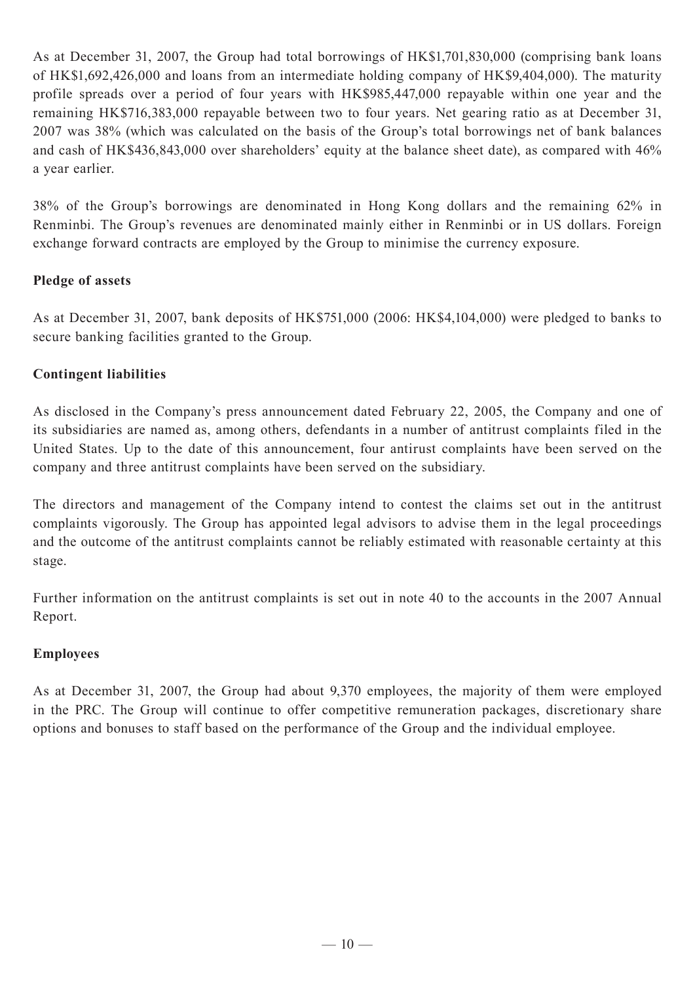As at December 31, 2007, the Group had total borrowings of HK\$1,701,830,000 (comprising bank loans of HK\$1,692,426,000 and loans from an intermediate holding company of HK\$9,404,000). The maturity profile spreads over a period of four years with HK\$985,447,000 repayable within one year and the remaining HK\$716,383,000 repayable between two to four years. Net gearing ratio as at December 31, 2007 was 38% (which was calculated on the basis of the Group's total borrowings net of bank balances and cash of HK\$436,843,000 over shareholders' equity at the balance sheet date), as compared with 46% a year earlier.

38% of the Group's borrowings are denominated in Hong Kong dollars and the remaining 62% in Renminbi. The Group's revenues are denominated mainly either in Renminbi or in US dollars. Foreign exchange forward contracts are employed by the Group to minimise the currency exposure.

## **Pledge of assets**

As at December 31, 2007, bank deposits of HK\$751,000 (2006: HK\$4,104,000) were pledged to banks to secure banking facilities granted to the Group.

## **Contingent liabilities**

As disclosed in the Company's press announcement dated February 22, 2005, the Company and one of its subsidiaries are named as, among others, defendants in a number of antitrust complaints filed in the United States. Up to the date of this announcement, four antirust complaints have been served on the company and three antitrust complaints have been served on the subsidiary.

The directors and management of the Company intend to contest the claims set out in the antitrust complaints vigorously. The Group has appointed legal advisors to advise them in the legal proceedings and the outcome of the antitrust complaints cannot be reliably estimated with reasonable certainty at this stage.

Further information on the antitrust complaints is set out in note 40 to the accounts in the 2007 Annual Report.

## **Employees**

As at December 31, 2007, the Group had about 9,370 employees, the majority of them were employed in the PRC. The Group will continue to offer competitive remuneration packages, discretionary share options and bonuses to staff based on the performance of the Group and the individual employee.